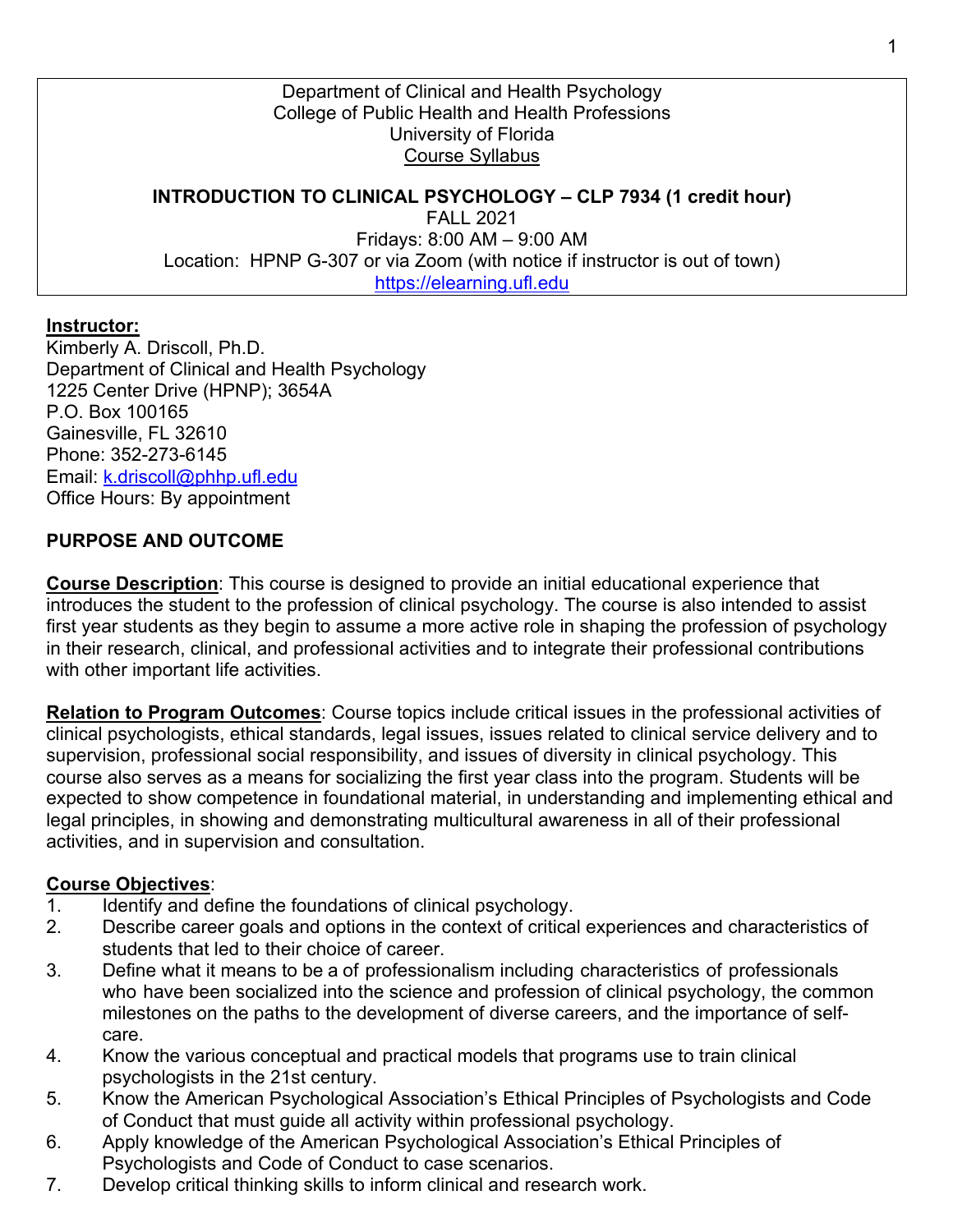Department of Clinical and Health Psychology College of Public Health and Health Professions University of Florida Course Syllabus

**INTRODUCTION TO CLINICAL PSYCHOLOGY – CLP 7934 (1 credit hour)** FALL 2021 Fridays: 8:00 AM – 9:00 AM Location: HPNP G-307 or via Zoom (with notice if instructor is out of town) https://elearning.ufl.edu

#### **Instructor:**

Kimberly A. Driscoll, Ph.D. Department of Clinical and Health Psychology 1225 Center Drive (HPNP); 3654A P.O. Box 100165 Gainesville, FL 32610 Phone: 352-273-6145 Email: k.driscoll@phhp.ufl.edu Office Hours: By appointment

#### **PURPOSE AND OUTCOME**

**Course Description**: This course is designed to provide an initial educational experience that introduces the student to the profession of clinical psychology. The course is also intended to assist first year students as they begin to assume a more active role in shaping the profession of psychology in their research, clinical, and professional activities and to integrate their professional contributions with other important life activities.

**Relation to Program Outcomes**: Course topics include critical issues in the professional activities of clinical psychologists, ethical standards, legal issues, issues related to clinical service delivery and to supervision, professional social responsibility, and issues of diversity in clinical psychology. This course also serves as a means for socializing the first year class into the program. Students will be expected to show competence in foundational material, in understanding and implementing ethical and legal principles, in showing and demonstrating multicultural awareness in all of their professional activities, and in supervision and consultation.

#### **Course Objectives**:

- 1. Identify and define the foundations of clinical psychology.
- 2. Describe career goals and options in the context of critical experiences and characteristics of students that led to their choice of career.
- 3. Define what it means to be a of professionalism including characteristics of professionals who have been socialized into the science and profession of clinical psychology, the common milestones on the paths to the development of diverse careers, and the importance of selfcare.
- 4. Know the various conceptual and practical models that programs use to train clinical psychologists in the 21st century.
- 5. Know the American Psychological Association's Ethical Principles of Psychologists and Code of Conduct that must guide all activity within professional psychology.
- 6. Apply knowledge of the American Psychological Association's Ethical Principles of Psychologists and Code of Conduct to case scenarios.
- 7. Develop critical thinking skills to inform clinical and research work.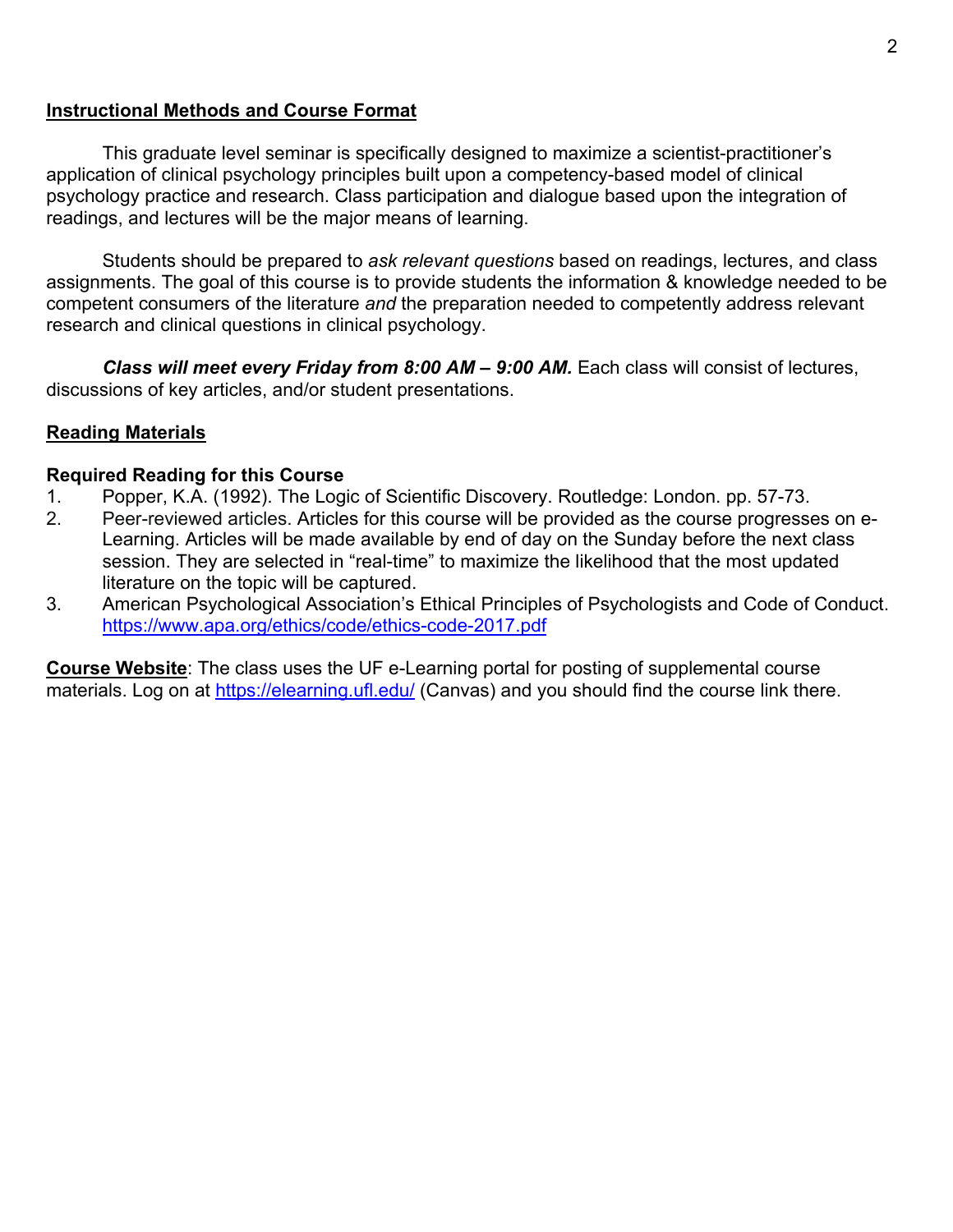#### **Instructional Methods and Course Format**

This graduate level seminar is specifically designed to maximize a scientist-practitioner's application of clinical psychology principles built upon a competency-based model of clinical psychology practice and research. Class participation and dialogue based upon the integration of readings, and lectures will be the major means of learning.

Students should be prepared to *ask relevant questions* based on readings, lectures, and class assignments. The goal of this course is to provide students the information & knowledge needed to be competent consumers of the literature *and* the preparation needed to competently address relevant research and clinical questions in clinical psychology.

*Class will meet every Friday from 8:00 AM – 9:00 AM.* Each class will consist of lectures, discussions of key articles, and/or student presentations.

#### **Reading Materials**

#### **Required Reading for this Course**

- 1. Popper, K.A. (1992). The Logic of Scientific Discovery. Routledge: London. pp. 57-73.
- 2. Peer-reviewed articles. Articles for this course will be provided as the course progresses on e-Learning. Articles will be made available by end of day on the Sunday before the next class session. They are selected in "real-time" to maximize the likelihood that the most updated literature on the topic will be captured.
- 3. American Psychological Association's Ethical Principles of Psychologists and Code of Conduct. https://www.apa.org/ethics/code/ethics-code-2017.pdf

**Course Website**: The class uses the UF e-Learning portal for posting of supplemental course materials. Log on at https://elearning.ufl.edu/ (Canvas) and you should find the course link there.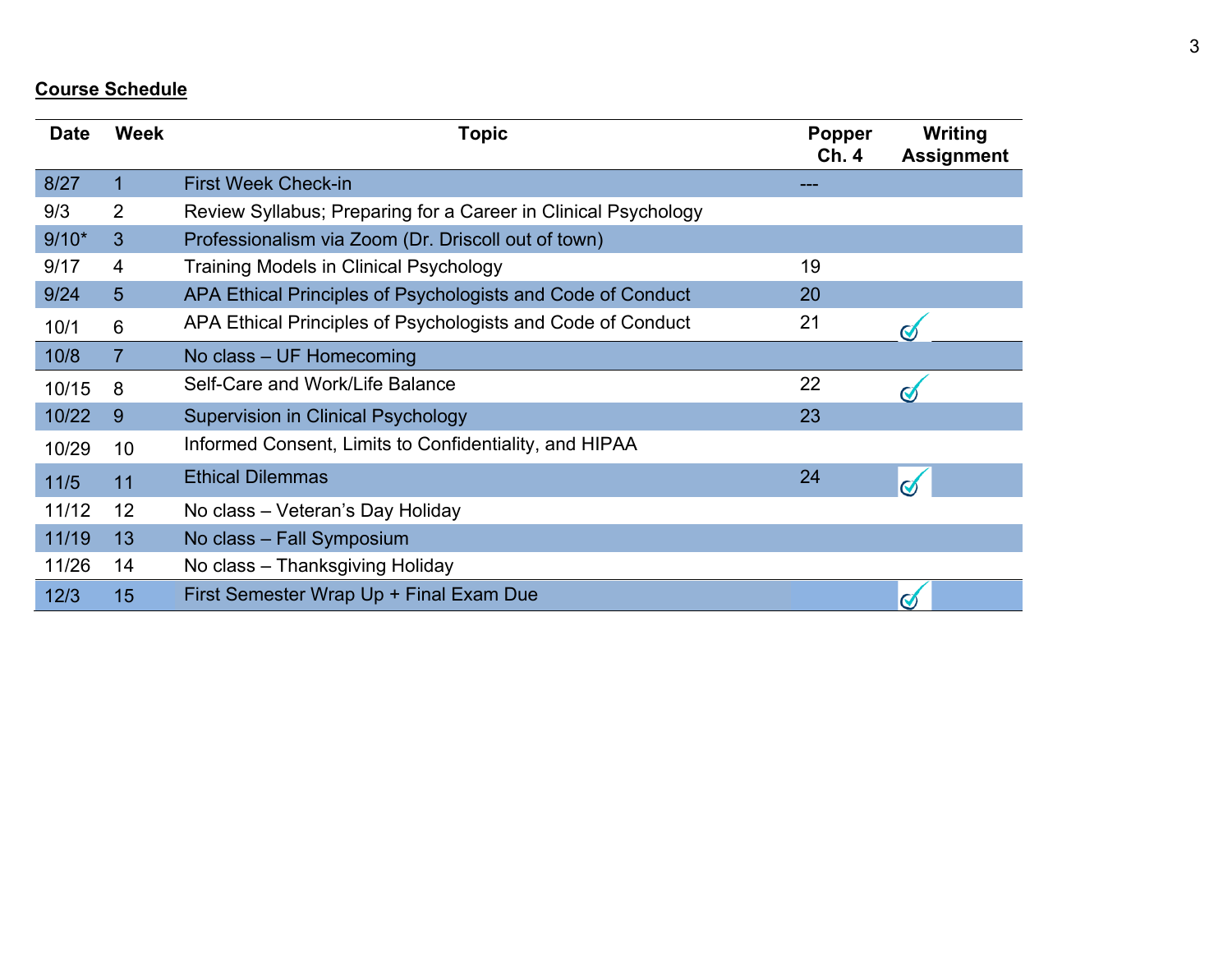# **Course Schedule**

| <b>Date</b> | <b>Week</b>     | <b>Topic</b>                                                   | <b>Popper</b><br>Ch. 4 | Writing<br><b>Assignment</b> |
|-------------|-----------------|----------------------------------------------------------------|------------------------|------------------------------|
| 8/27        | 1               | <b>First Week Check-in</b>                                     |                        |                              |
| 9/3         | $\overline{2}$  | Review Syllabus; Preparing for a Career in Clinical Psychology |                        |                              |
| $9/10*$     | 3               | Professionalism via Zoom (Dr. Driscoll out of town)            |                        |                              |
| 9/17        | 4               | <b>Training Models in Clinical Psychology</b>                  | 19                     |                              |
| 9/24        | 5               | APA Ethical Principles of Psychologists and Code of Conduct    | 20                     |                              |
| 10/1        | 6               | APA Ethical Principles of Psychologists and Code of Conduct    | 21                     |                              |
| 10/8        | $\overline{7}$  | No class - UF Homecoming                                       |                        |                              |
| 10/15       | 8               | Self-Care and Work/Life Balance                                | 22                     | $\boldsymbol{\mathsf{C}}$    |
| 10/22       | 9               | <b>Supervision in Clinical Psychology</b>                      | 23                     |                              |
| 10/29       | 10 <sup>1</sup> | Informed Consent, Limits to Confidentiality, and HIPAA         |                        |                              |
| 11/5        | 11              | <b>Ethical Dilemmas</b>                                        | 24                     | $\mathbf C$                  |
| 11/12       | 12              | No class - Veteran's Day Holiday                               |                        |                              |
| 11/19       | 13              | No class - Fall Symposium                                      |                        |                              |
| 11/26       | 14              | No class - Thanksgiving Holiday                                |                        |                              |
| 12/3        | 15              | First Semester Wrap Up + Final Exam Due                        |                        | $\bm{C}$                     |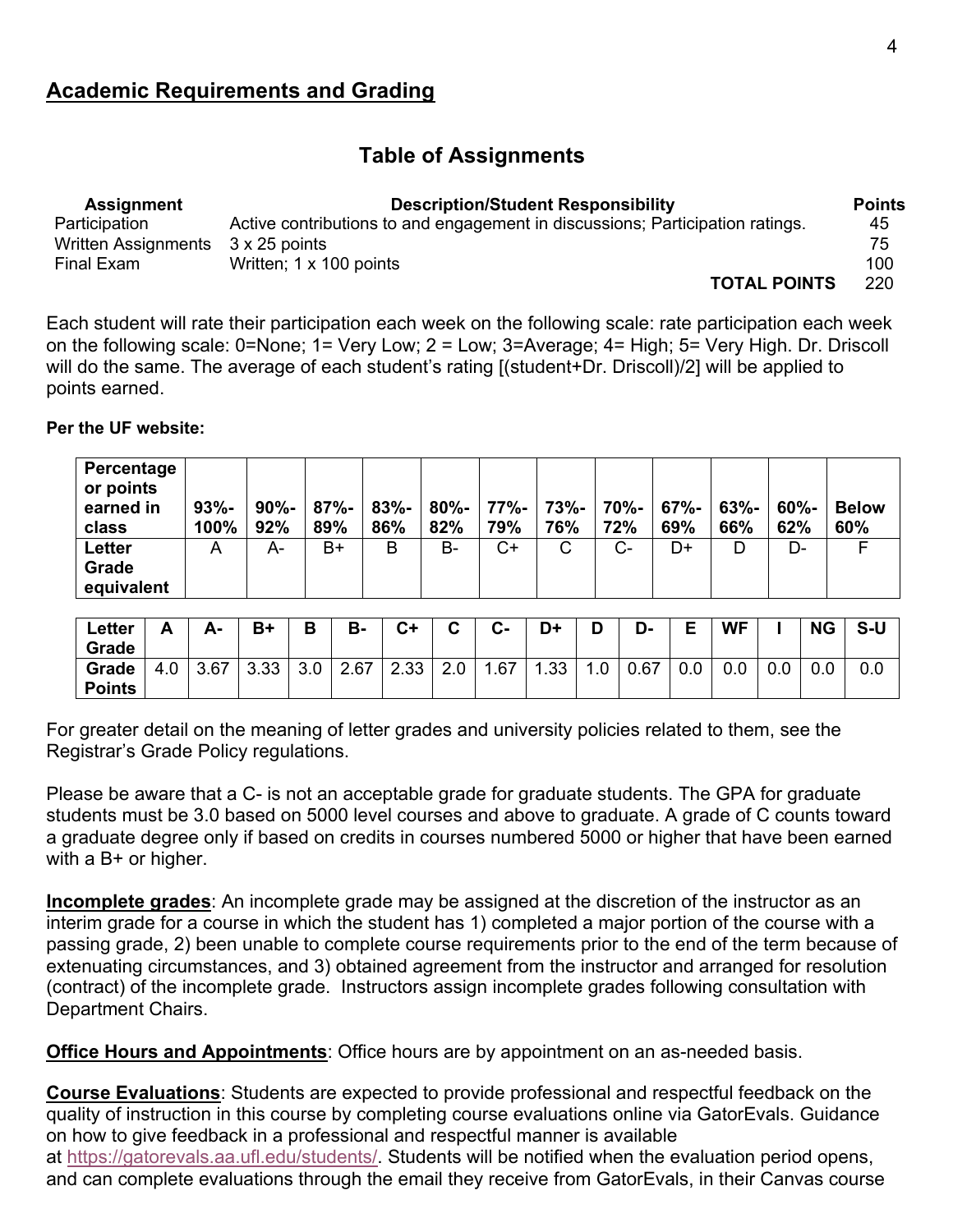## **Table of Assignments**

| <b>Assignment</b>          | <b>Description/Student Responsibility</b>                                     | <b>Points</b> |
|----------------------------|-------------------------------------------------------------------------------|---------------|
| Participation              | Active contributions to and engagement in discussions; Participation ratings. | 45            |
| <b>Written Assignments</b> | 3 x 25 points                                                                 | 75            |
| Final Exam                 | Written: 1 x 100 points                                                       | 100           |
|                            | <b>TOTAL POINTS</b>                                                           | 220           |

Each student will rate their participation each week on the following scale: rate participation each week on the following scale: 0=None; 1= Very Low; 2 = Low; 3=Average; 4= High; 5= Very High. Dr. Driscoll will do the same. The average of each student's rating [(student+Dr. Driscoll)/2] will be applied to points earned.

**Per the UF website:**

| Percentage<br>or points<br>earned in<br>class | $93% -$<br>100% | $90% -$<br>92% | $87% -$<br>89% | $83% -$<br>86% | 80%-<br>82% | $77% -$<br>79% | 73%-<br>76% | 70%-<br>72% | $67% -$<br>69% | $63% -$<br>66% | $60% -$<br>62% | <b>Below</b><br>60% |
|-----------------------------------------------|-----------------|----------------|----------------|----------------|-------------|----------------|-------------|-------------|----------------|----------------|----------------|---------------------|
| <b>Letter</b><br>Grade                        | A               | A-             | B+             | B              | B-          | C+             | С           | $C-$        | D+             | D              | D-             |                     |
| equivalent                                    |                 |                |                |                |             |                |             |             |                |                |                |                     |

| $\textcolor{red}{\textsf{cetter}}$<br>Grade | Δ<br>г. | Δ.   | $B+$        | D<br>D   | В-             | ◠⊥<br>◡ | ⌒<br>ັ               | $\sim$<br><b>U-</b> | D+  | n<br>υ | D-   | F<br>− | <b>WF</b> |          | <b>NG</b> | $S-U$ |
|---------------------------------------------|---------|------|-------------|----------|----------------|---------|----------------------|---------------------|-----|--------|------|--------|-----------|----------|-----------|-------|
| Grade<br><b>Points</b>                      | 4.0     | 3.67 | ററ<br>ັບ.ບບ | ົ<br>v.v | 2.67<br>$\sim$ | 2.33    | $\sim$ $\sim$<br>z.u | 1.67                | .33 | .u     | 0.67 | 0.0    | $_{0.0}$  | $_{0.0}$ | $0.0\,$   | 0.0   |

For greater detail on the meaning of letter grades and university policies related to them, see the Registrar's Grade Policy regulations.

Please be aware that a C- is not an acceptable grade for graduate students. The GPA for graduate students must be 3.0 based on 5000 level courses and above to graduate. A grade of C counts toward a graduate degree only if based on credits in courses numbered 5000 or higher that have been earned with a B+ or higher.

**Incomplete grades**: An incomplete grade may be assigned at the discretion of the instructor as an interim grade for a course in which the student has 1) completed a major portion of the course with a passing grade, 2) been unable to complete course requirements prior to the end of the term because of extenuating circumstances, and 3) obtained agreement from the instructor and arranged for resolution (contract) of the incomplete grade. Instructors assign incomplete grades following consultation with Department Chairs.

**Office Hours and Appointments**: Office hours are by appointment on an as-needed basis.

**Course Evaluations**: Students are expected to provide professional and respectful feedback on the quality of instruction in this course by completing course evaluations online via GatorEvals. Guidance on how to give feedback in a professional and respectful manner is available at https://gatorevals.aa.ufl.edu/students/. Students will be notified when the evaluation period opens, and can complete evaluations through the email they receive from GatorEvals, in their Canvas course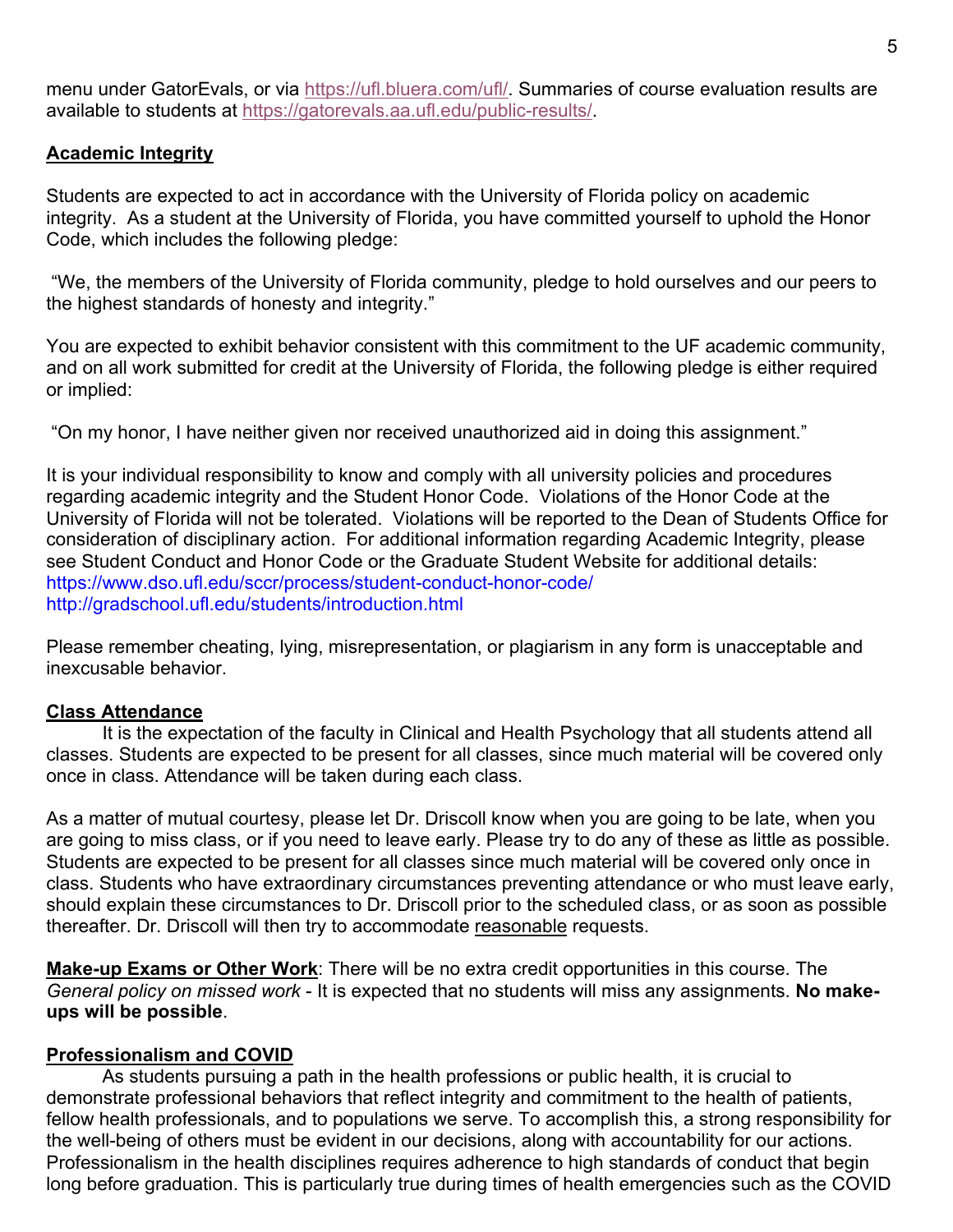menu under GatorEvals, or via https://ufl.bluera.com/ufl/. Summaries of course evaluation results are available to students at https://gatorevals.aa.ufl.edu/public-results/.

#### **Academic Integrity**

Students are expected to act in accordance with the University of Florida policy on academic integrity. As a student at the University of Florida, you have committed yourself to uphold the Honor Code, which includes the following pledge:

"We, the members of the University of Florida community, pledge to hold ourselves and our peers to the highest standards of honesty and integrity."

You are expected to exhibit behavior consistent with this commitment to the UF academic community, and on all work submitted for credit at the University of Florida, the following pledge is either required or implied:

"On my honor, I have neither given nor received unauthorized aid in doing this assignment."

It is your individual responsibility to know and comply with all university policies and procedures regarding academic integrity and the Student Honor Code. Violations of the Honor Code at the University of Florida will not be tolerated. Violations will be reported to the Dean of Students Office for consideration of disciplinary action. For additional information regarding Academic Integrity, please see Student Conduct and Honor Code or the Graduate Student Website for additional details: https://www.dso.ufl.edu/sccr/process/student-conduct-honor-code/ http://gradschool.ufl.edu/students/introduction.html

Please remember cheating, lying, misrepresentation, or plagiarism in any form is unacceptable and inexcusable behavior.

#### **Class Attendance**

It is the expectation of the faculty in Clinical and Health Psychology that all students attend all classes. Students are expected to be present for all classes, since much material will be covered only once in class. Attendance will be taken during each class.

As a matter of mutual courtesy, please let Dr. Driscoll know when you are going to be late, when you are going to miss class, or if you need to leave early. Please try to do any of these as little as possible. Students are expected to be present for all classes since much material will be covered only once in class. Students who have extraordinary circumstances preventing attendance or who must leave early, should explain these circumstances to Dr. Driscoll prior to the scheduled class, or as soon as possible thereafter. Dr. Driscoll will then try to accommodate reasonable requests.

**Make-up Exams or Other Work**: There will be no extra credit opportunities in this course. The *General policy on missed work* - It is expected that no students will miss any assignments. **No makeups will be possible**.

#### **Professionalism and COVID**

As students pursuing a path in the health professions or public health, it is crucial to demonstrate professional behaviors that reflect integrity and commitment to the health of patients, fellow health professionals, and to populations we serve. To accomplish this, a strong responsibility for the well-being of others must be evident in our decisions, along with accountability for our actions. Professionalism in the health disciplines requires adherence to high standards of conduct that begin long before graduation. This is particularly true during times of health emergencies such as the COVID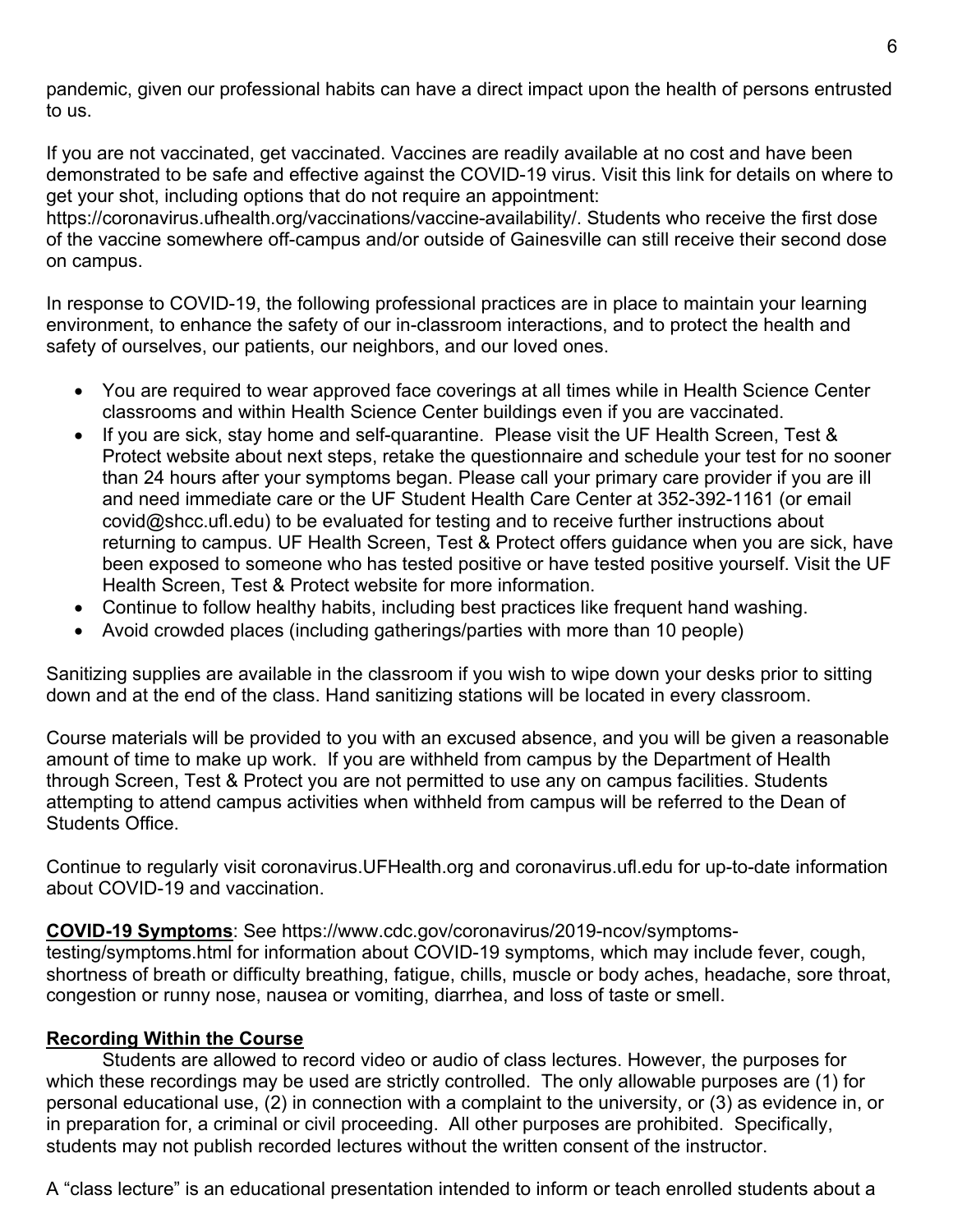pandemic, given our professional habits can have a direct impact upon the health of persons entrusted to us.

If you are not vaccinated, get vaccinated. Vaccines are readily available at no cost and have been demonstrated to be safe and effective against the COVID-19 virus. Visit this link for details on where to get your shot, including options that do not require an appointment:

https://coronavirus.ufhealth.org/vaccinations/vaccine-availability/. Students who receive the first dose of the vaccine somewhere off-campus and/or outside of Gainesville can still receive their second dose on campus.

In response to COVID-19, the following professional practices are in place to maintain your learning environment, to enhance the safety of our in-classroom interactions, and to protect the health and safety of ourselves, our patients, our neighbors, and our loved ones.

- You are required to wear approved face coverings at all times while in Health Science Center classrooms and within Health Science Center buildings even if you are vaccinated.
- If you are sick, stay home and self-quarantine. Please visit the UF Health Screen, Test & Protect website about next steps, retake the questionnaire and schedule your test for no sooner than 24 hours after your symptoms began. Please call your primary care provider if you are ill and need immediate care or the UF Student Health Care Center at 352-392-1161 (or email covid@shcc.ufl.edu) to be evaluated for testing and to receive further instructions about returning to campus. UF Health Screen, Test & Protect offers guidance when you are sick, have been exposed to someone who has tested positive or have tested positive yourself. Visit the UF Health Screen, Test & Protect website for more information.
- Continue to follow healthy habits, including best practices like frequent hand washing.
- Avoid crowded places (including gatherings/parties with more than 10 people)

Sanitizing supplies are available in the classroom if you wish to wipe down your desks prior to sitting down and at the end of the class. Hand sanitizing stations will be located in every classroom.

Course materials will be provided to you with an excused absence, and you will be given a reasonable amount of time to make up work. If you are withheld from campus by the Department of Health through Screen, Test & Protect you are not permitted to use any on campus facilities. Students attempting to attend campus activities when withheld from campus will be referred to the Dean of Students Office.

Continue to regularly visit coronavirus.UFHealth.org and coronavirus.ufl.edu for up-to-date information about COVID-19 and vaccination.

#### **COVID-19 Symptoms**: See https://www.cdc.gov/coronavirus/2019-ncov/symptoms-

testing/symptoms.html for information about COVID-19 symptoms, which may include fever, cough, shortness of breath or difficulty breathing, fatigue, chills, muscle or body aches, headache, sore throat, congestion or runny nose, nausea or vomiting, diarrhea, and loss of taste or smell.

### **Recording Within the Course**

Students are allowed to record video or audio of class lectures. However, the purposes for which these recordings may be used are strictly controlled. The only allowable purposes are (1) for personal educational use, (2) in connection with a complaint to the university, or (3) as evidence in, or in preparation for, a criminal or civil proceeding. All other purposes are prohibited. Specifically, students may not publish recorded lectures without the written consent of the instructor.

A "class lecture" is an educational presentation intended to inform or teach enrolled students about a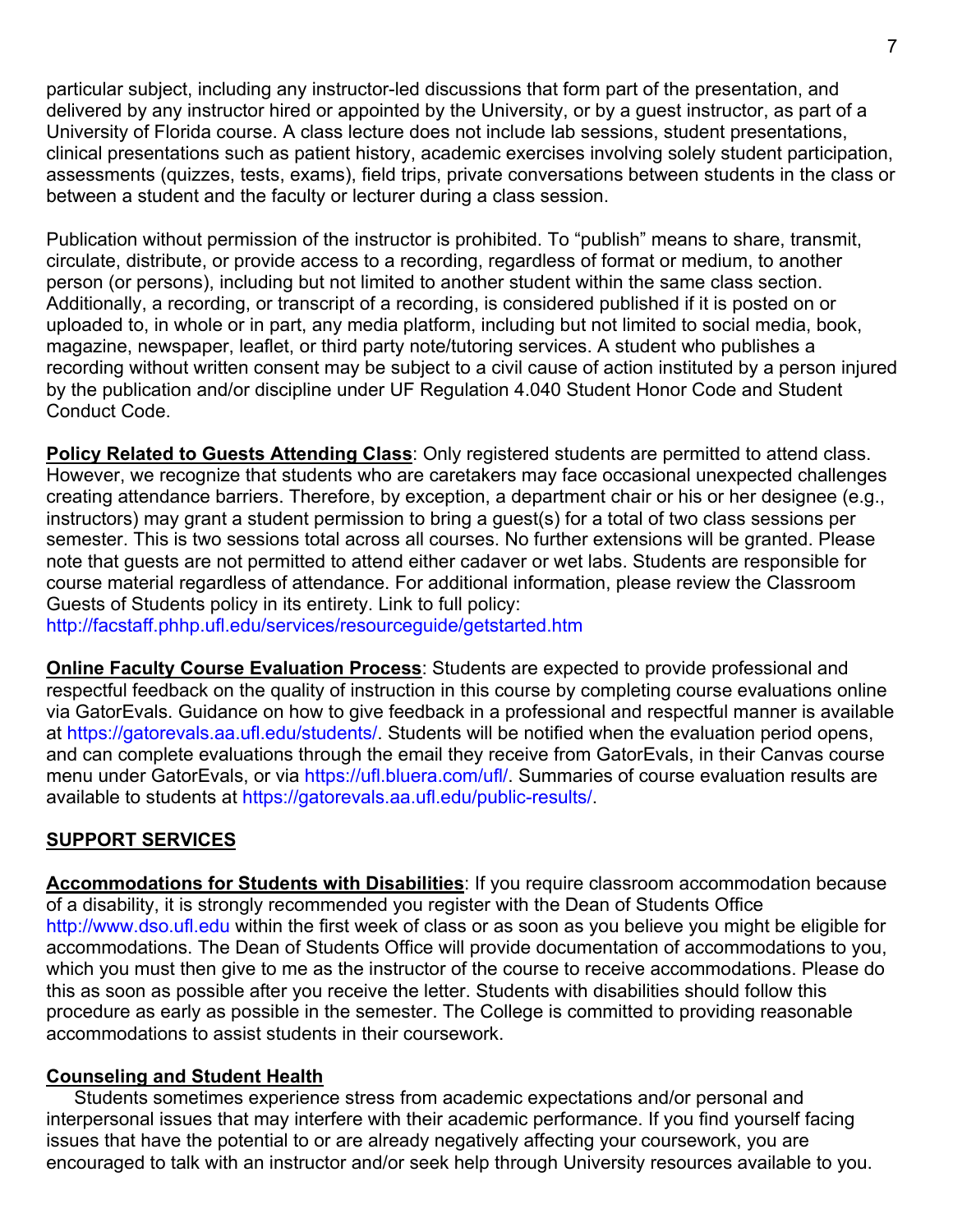particular subject, including any instructor-led discussions that form part of the presentation, and delivered by any instructor hired or appointed by the University, or by a guest instructor, as part of a University of Florida course. A class lecture does not include lab sessions, student presentations, clinical presentations such as patient history, academic exercises involving solely student participation, assessments (quizzes, tests, exams), field trips, private conversations between students in the class or between a student and the faculty or lecturer during a class session.

Publication without permission of the instructor is prohibited. To "publish" means to share, transmit, circulate, distribute, or provide access to a recording, regardless of format or medium, to another person (or persons), including but not limited to another student within the same class section. Additionally, a recording, or transcript of a recording, is considered published if it is posted on or uploaded to, in whole or in part, any media platform, including but not limited to social media, book, magazine, newspaper, leaflet, or third party note/tutoring services. A student who publishes a recording without written consent may be subject to a civil cause of action instituted by a person injured by the publication and/or discipline under UF Regulation 4.040 Student Honor Code and Student Conduct Code.

**Policy Related to Guests Attending Class**: Only registered students are permitted to attend class. However, we recognize that students who are caretakers may face occasional unexpected challenges creating attendance barriers. Therefore, by exception, a department chair or his or her designee (e.g., instructors) may grant a student permission to bring a guest(s) for a total of two class sessions per semester. This is two sessions total across all courses. No further extensions will be granted. Please note that guests are not permitted to attend either cadaver or wet labs. Students are responsible for course material regardless of attendance. For additional information, please review the Classroom Guests of Students policy in its entirety. Link to full policy:

http://facstaff.phhp.ufl.edu/services/resourceguide/getstarted.htm

**Online Faculty Course Evaluation Process**: Students are expected to provide professional and respectful feedback on the quality of instruction in this course by completing course evaluations online via GatorEvals. Guidance on how to give feedback in a professional and respectful manner is available at https://gatorevals.aa.ufl.edu/students/. Students will be notified when the evaluation period opens, and can complete evaluations through the email they receive from GatorEvals, in their Canvas course menu under GatorEvals, or via https://ufl.bluera.com/ufl/. Summaries of course evaluation results are available to students at https://gatorevals.aa.ufl.edu/public-results/.

## **SUPPORT SERVICES**

**Accommodations for Students with Disabilities**: If you require classroom accommodation because of a disability, it is strongly recommended you register with the Dean of Students Office http://www.dso.ufl.edu within the first week of class or as soon as you believe you might be eligible for accommodations. The Dean of Students Office will provide documentation of accommodations to you, which you must then give to me as the instructor of the course to receive accommodations. Please do this as soon as possible after you receive the letter. Students with disabilities should follow this procedure as early as possible in the semester. The College is committed to providing reasonable accommodations to assist students in their coursework.

### **Counseling and Student Health**

Students sometimes experience stress from academic expectations and/or personal and interpersonal issues that may interfere with their academic performance. If you find yourself facing issues that have the potential to or are already negatively affecting your coursework, you are encouraged to talk with an instructor and/or seek help through University resources available to you.